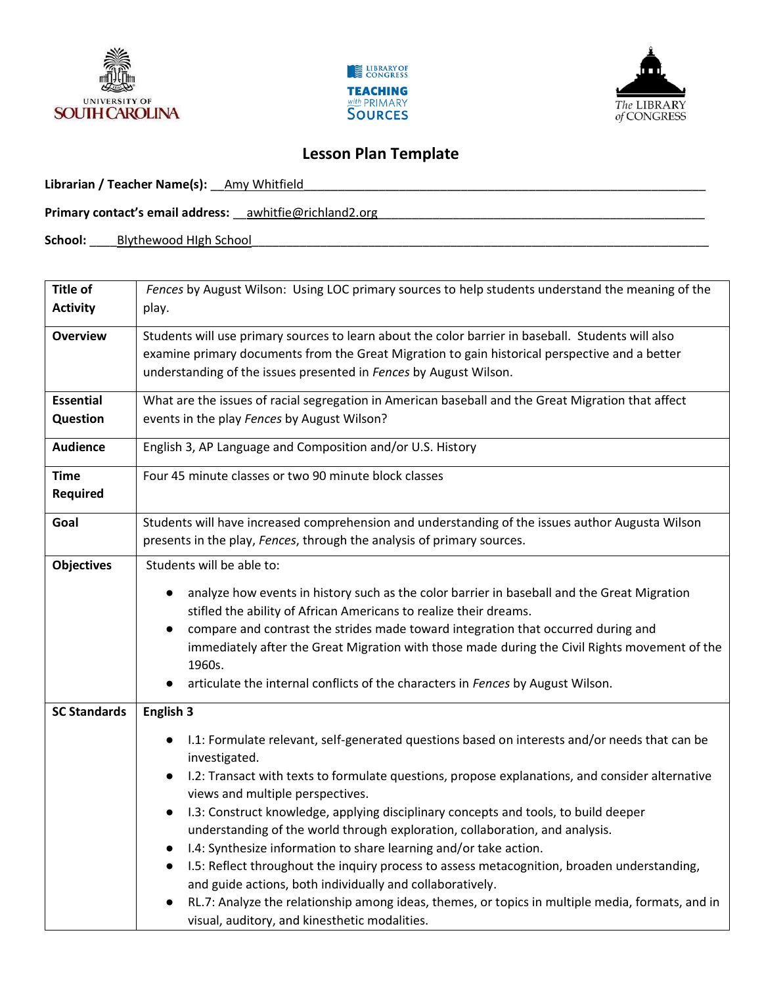





## **Lesson Plan Template**

Librarian / Teacher Name(s): \_\_Amy Whitfield

**Primary contact's email address:** \_\_awhitfie@richland2.org

School: Blythewood HIgh School

| Title of                       | Fences by August Wilson: Using LOC primary sources to help students understand the meaning of the                                                                                                                                                                                                                                                                                                                                                                                                                                                                                                                                                                                                                                                                                                                                                                                   |
|--------------------------------|-------------------------------------------------------------------------------------------------------------------------------------------------------------------------------------------------------------------------------------------------------------------------------------------------------------------------------------------------------------------------------------------------------------------------------------------------------------------------------------------------------------------------------------------------------------------------------------------------------------------------------------------------------------------------------------------------------------------------------------------------------------------------------------------------------------------------------------------------------------------------------------|
| <b>Activity</b>                | play.                                                                                                                                                                                                                                                                                                                                                                                                                                                                                                                                                                                                                                                                                                                                                                                                                                                                               |
| <b>Overview</b>                | Students will use primary sources to learn about the color barrier in baseball. Students will also<br>examine primary documents from the Great Migration to gain historical perspective and a better<br>understanding of the issues presented in Fences by August Wilson.                                                                                                                                                                                                                                                                                                                                                                                                                                                                                                                                                                                                           |
| <b>Essential</b>               | What are the issues of racial segregation in American baseball and the Great Migration that affect                                                                                                                                                                                                                                                                                                                                                                                                                                                                                                                                                                                                                                                                                                                                                                                  |
| Question                       | events in the play Fences by August Wilson?                                                                                                                                                                                                                                                                                                                                                                                                                                                                                                                                                                                                                                                                                                                                                                                                                                         |
| <b>Audience</b>                | English 3, AP Language and Composition and/or U.S. History                                                                                                                                                                                                                                                                                                                                                                                                                                                                                                                                                                                                                                                                                                                                                                                                                          |
| <b>Time</b><br><b>Required</b> | Four 45 minute classes or two 90 minute block classes                                                                                                                                                                                                                                                                                                                                                                                                                                                                                                                                                                                                                                                                                                                                                                                                                               |
| Goal                           | Students will have increased comprehension and understanding of the issues author Augusta Wilson<br>presents in the play, Fences, through the analysis of primary sources.                                                                                                                                                                                                                                                                                                                                                                                                                                                                                                                                                                                                                                                                                                          |
| <b>Objectives</b>              | Students will be able to:                                                                                                                                                                                                                                                                                                                                                                                                                                                                                                                                                                                                                                                                                                                                                                                                                                                           |
|                                | analyze how events in history such as the color barrier in baseball and the Great Migration<br>stifled the ability of African Americans to realize their dreams.<br>compare and contrast the strides made toward integration that occurred during and<br>$\bullet$<br>immediately after the Great Migration with those made during the Civil Rights movement of the<br>1960s.<br>articulate the internal conflicts of the characters in Fences by August Wilson.                                                                                                                                                                                                                                                                                                                                                                                                                    |
| <b>SC Standards</b>            | English 3                                                                                                                                                                                                                                                                                                                                                                                                                                                                                                                                                                                                                                                                                                                                                                                                                                                                           |
|                                | I.1: Formulate relevant, self-generated questions based on interests and/or needs that can be<br>$\bullet$<br>investigated.<br>I.2: Transact with texts to formulate questions, propose explanations, and consider alternative<br>$\bullet$<br>views and multiple perspectives.<br>I.3: Construct knowledge, applying disciplinary concepts and tools, to build deeper<br>$\bullet$<br>understanding of the world through exploration, collaboration, and analysis.<br>I.4: Synthesize information to share learning and/or take action.<br>$\bullet$<br>I.5: Reflect throughout the inquiry process to assess metacognition, broaden understanding,<br>$\bullet$<br>and guide actions, both individually and collaboratively.<br>RL.7: Analyze the relationship among ideas, themes, or topics in multiple media, formats, and in<br>visual, auditory, and kinesthetic modalities. |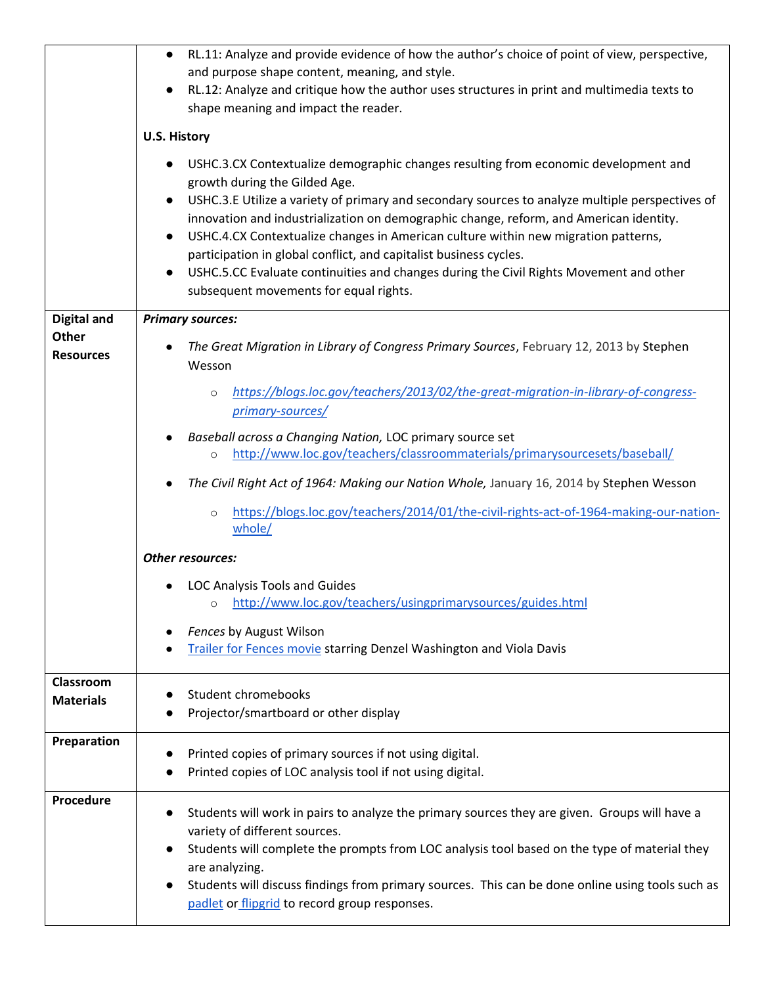|                    | RL.11: Analyze and provide evidence of how the author's choice of point of view, perspective,<br>$\bullet$                                                                   |
|--------------------|------------------------------------------------------------------------------------------------------------------------------------------------------------------------------|
|                    | and purpose shape content, meaning, and style.                                                                                                                               |
|                    | RL.12: Analyze and critique how the author uses structures in print and multimedia texts to<br>$\bullet$                                                                     |
|                    | shape meaning and impact the reader.                                                                                                                                         |
|                    | <b>U.S. History</b>                                                                                                                                                          |
|                    | USHC.3.CX Contextualize demographic changes resulting from economic development and<br>$\bullet$                                                                             |
|                    | growth during the Gilded Age.                                                                                                                                                |
|                    | USHC.3.E Utilize a variety of primary and secondary sources to analyze multiple perspectives of<br>$\bullet$                                                                 |
|                    | innovation and industrialization on demographic change, reform, and American identity.<br>USHC.4.CX Contextualize changes in American culture within new migration patterns, |
|                    | $\bullet$<br>participation in global conflict, and capitalist business cycles.                                                                                               |
|                    | USHC.5.CC Evaluate continuities and changes during the Civil Rights Movement and other<br>$\bullet$                                                                          |
|                    | subsequent movements for equal rights.                                                                                                                                       |
|                    |                                                                                                                                                                              |
| <b>Digital and</b> | <b>Primary sources:</b>                                                                                                                                                      |
| Other              | The Great Migration in Library of Congress Primary Sources, February 12, 2013 by Stephen                                                                                     |
| <b>Resources</b>   | Wesson                                                                                                                                                                       |
|                    |                                                                                                                                                                              |
|                    | https://blogs.loc.gov/teachers/2013/02/the-great-migration-in-library-of-congress-<br>$\circ$                                                                                |
|                    | primary-sources/                                                                                                                                                             |
|                    | Baseball across a Changing Nation, LOC primary source set                                                                                                                    |
|                    | http://www.loc.gov/teachers/classroommaterials/primarysourcesets/baseball/<br>$\circ$                                                                                        |
|                    | The Civil Right Act of 1964: Making our Nation Whole, January 16, 2014 by Stephen Wesson                                                                                     |
|                    | https://blogs.loc.gov/teachers/2014/01/the-civil-rights-act-of-1964-making-our-nation-<br>$\circ$<br>whole/                                                                  |
|                    | <b>Other resources:</b>                                                                                                                                                      |
|                    | <b>LOC Analysis Tools and Guides</b>                                                                                                                                         |
|                    | o http://www.loc.gov/teachers/usingprimarysources/guides.html                                                                                                                |
|                    | Fences by August Wilson                                                                                                                                                      |
|                    | <b>Trailer for Fences movie starring Denzel Washington and Viola Davis</b>                                                                                                   |
|                    |                                                                                                                                                                              |
| Classroom          | Student chromebooks                                                                                                                                                          |
| <b>Materials</b>   | Projector/smartboard or other display                                                                                                                                        |
|                    |                                                                                                                                                                              |
| Preparation        |                                                                                                                                                                              |
|                    | Printed copies of primary sources if not using digital.<br>Printed copies of LOC analysis tool if not using digital.                                                         |
|                    |                                                                                                                                                                              |
| <b>Procedure</b>   | Students will work in pairs to analyze the primary sources they are given. Groups will have a<br>$\bullet$                                                                   |
|                    | variety of different sources.                                                                                                                                                |
|                    | Students will complete the prompts from LOC analysis tool based on the type of material they<br>$\bullet$                                                                    |
|                    | are analyzing.                                                                                                                                                               |
|                    | Students will discuss findings from primary sources. This can be done online using tools such as<br>$\bullet$                                                                |
|                    | padlet or flipgrid to record group responses.                                                                                                                                |
|                    |                                                                                                                                                                              |